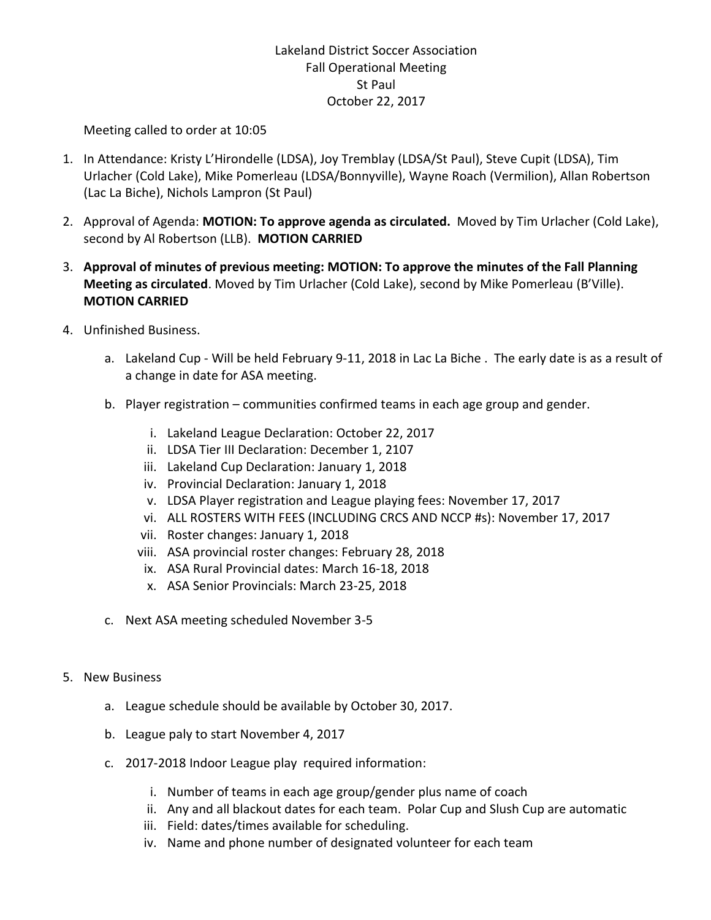## Lakeland District Soccer Association Fall Operational Meeting St Paul October 22, 2017

Meeting called to order at 10:05

- 1. In Attendance: Kristy L'Hirondelle (LDSA), Joy Tremblay (LDSA/St Paul), Steve Cupit (LDSA), Tim Urlacher (Cold Lake), Mike Pomerleau (LDSA/Bonnyville), Wayne Roach (Vermilion), Allan Robertson (Lac La Biche), Nichols Lampron (St Paul)
- 2. Approval of Agenda: **MOTION: To approve agenda as circulated.** Moved by Tim Urlacher (Cold Lake), second by Al Robertson (LLB). **MOTION CARRIED**
- 3. **Approval of minutes of previous meeting: MOTION: To approve the minutes of the Fall Planning Meeting as circulated**. Moved by Tim Urlacher (Cold Lake), second by Mike Pomerleau (B'Ville). **MOTION CARRIED**
- 4. Unfinished Business.
	- a. Lakeland Cup Will be held February 9-11, 2018 in Lac La Biche . The early date is as a result of a change in date for ASA meeting.
	- b. Player registration communities confirmed teams in each age group and gender.
		- i. Lakeland League Declaration: October 22, 2017
		- ii. LDSA Tier III Declaration: December 1, 2107
		- iii. Lakeland Cup Declaration: January 1, 2018
		- iv. Provincial Declaration: January 1, 2018
		- v. LDSA Player registration and League playing fees: November 17, 2017
		- vi. ALL ROSTERS WITH FEES (INCLUDING CRCS AND NCCP #s): November 17, 2017
		- vii. Roster changes: January 1, 2018
		- viii. ASA provincial roster changes: February 28, 2018
		- ix. ASA Rural Provincial dates: March 16-18, 2018
		- x. ASA Senior Provincials: March 23-25, 2018
	- c. Next ASA meeting scheduled November 3-5
- 5. New Business
	- a. League schedule should be available by October 30, 2017.
	- b. League paly to start November 4, 2017
	- c. 2017-2018 Indoor League play required information:
		- i. Number of teams in each age group/gender plus name of coach
		- ii. Any and all blackout dates for each team. Polar Cup and Slush Cup are automatic
		- iii. Field: dates/times available for scheduling.
		- iv. Name and phone number of designated volunteer for each team